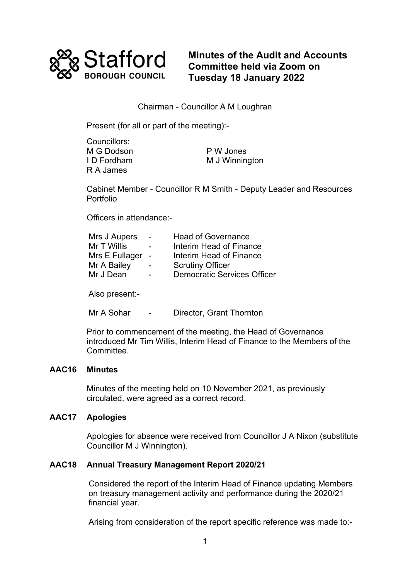

**Minutes of the Audit and Accounts Committee held via Zoom on Tuesday 18 January 2022**

## Chairman - Councillor A M Loughran

Present (for all or part of the meeting):-

| Councillors: |                |
|--------------|----------------|
| M G Dodson   | P W Jones      |
| ID Fordham   | M J Winnington |
| R A James    |                |

Cabinet Member - Councillor R M Smith - Deputy Leader and Resources Portfolio

Officers in attendance:-

| Mrs J Aupers   | $\overline{\phantom{0}}$ | <b>Head of Governance</b>          |
|----------------|--------------------------|------------------------------------|
| Mr T Willis    | $\overline{\phantom{0}}$ | Interim Head of Finance            |
| Mrs E Fullager | $\sim$                   | Interim Head of Finance            |
| Mr A Bailey    | $\overline{\phantom{0}}$ | <b>Scrutiny Officer</b>            |
| Mr J Dean      | $\overline{\phantom{a}}$ | <b>Democratic Services Officer</b> |
|                |                          |                                    |

Also present:-

Mr A Sohar - Director, Grant Thornton

Prior to commencement of the meeting, the Head of Governance introduced Mr Tim Willis, Interim Head of Finance to the Members of the Committee.

### **AAC16 Minutes**

Minutes of the meeting held on 10 November 2021, as previously circulated, were agreed as a correct record.

## **AAC17 Apologies**

Apologies for absence were received from Councillor J A Nixon (substitute Councillor M J Winnington).

## **AAC18 Annual Treasury Management Report 2020/21**

Considered the report of the Interim Head of Finance updating Members on treasury management activity and performance during the 2020/21 financial year.

Arising from consideration of the report specific reference was made to:-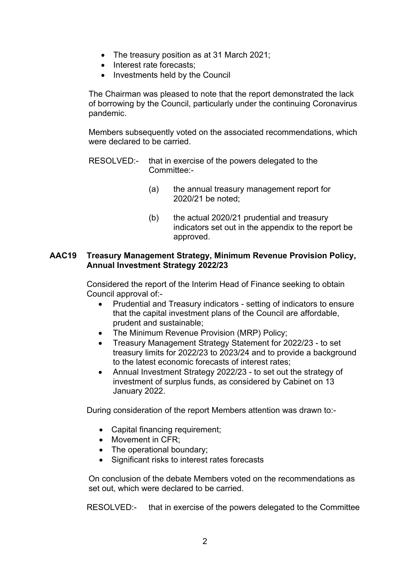- The treasury position as at 31 March 2021;
- Interest rate forecasts;
- Investments held by the Council

The Chairman was pleased to note that the report demonstrated the lack of borrowing by the Council, particularly under the continuing Coronavirus pandemic.

Members subsequently voted on the associated recommendations, which were declared to be carried.

- RESOLVED:- that in exercise of the powers delegated to the Committee:-
	- (a) the annual treasury management report for 2020/21 be noted;
	- (b) the actual 2020/21 prudential and treasury indicators set out in the appendix to the report be approved.

## **AAC19 Treasury Management Strategy, Minimum Revenue Provision Policy, Annual Investment Strategy 2022/23**

Considered the report of the Interim Head of Finance seeking to obtain Council approval of:-

- Prudential and Treasury indicators setting of indicators to ensure that the capital investment plans of the Council are affordable, prudent and sustainable;
- The Minimum Revenue Provision (MRP) Policy;
- Treasury Management Strategy Statement for 2022/23 to set treasury limits for 2022/23 to 2023/24 and to provide a background to the latest economic forecasts of interest rates;
- Annual Investment Strategy 2022/23 to set out the strategy of investment of surplus funds, as considered by Cabinet on 13 January 2022.

During consideration of the report Members attention was drawn to:-

- Capital financing requirement;
- Movement in CFR;
- The operational boundary:
- Significant risks to interest rates forecasts

On conclusion of the debate Members voted on the recommendations as set out, which were declared to be carried.

RESOLVED:- that in exercise of the powers delegated to the Committee